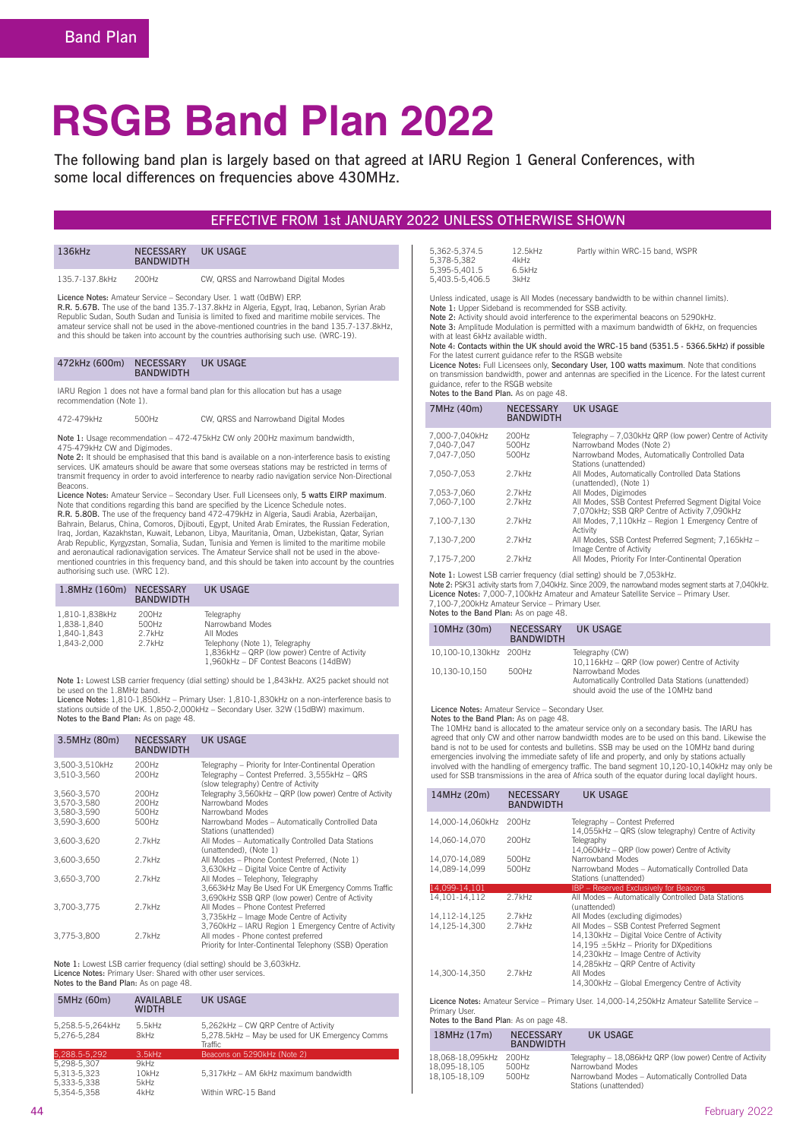# **RSGB Band Plan 2022**

The following band plan is largely based on that agreed at IARU Region 1 General Conferences, with some local differences on frequencies above 430MHz.

### EFFECTIVE FROM 1st JANUARY 2022 UNLESS OTHERWISE SHOWN

| 136kHz | <b>NECESSARY</b><br><b>BANDWIDTH</b> | UK USAGE |
|--------|--------------------------------------|----------|
|        |                                      |          |

135.7-137.8kHz 200Hz CW, QRSS and Narrowband Digital Modes

Licence Notes: Amateur Service – Secondary User. 1 watt (0dBW) ERP.

R.R. 5.67B. The use of the band 135.7-137.8kHz in Algeria, Egypt, Iraq, Lebanon, Syrian Arab Republic Sudan, South Sudan and Tunisia is limited to fixed and maritime mobile services. The amateur service shall not be used in the above-mentioned countries in the band 135.7-137.8kHz, and this should be taken into account by the countries authorising such use. (WRC-19).

IARU Region 1 does not have a formal band plan for this allocation but has a usage recommendation (Note 1).

472-479kHz 500Hz CW, QRSS and Narrowband Digital Modes

Note 1: Usage recommendation – 472-475kHz CW only 200Hz maximum bandwidth 475-479kHz CW and Digimodes.

**Note 2:** It should be emphasised that this band is available on a non-interference basis to existing<br>services. UK amateurs should be aware that some overseas stations may be restricted in terms of transmit frequency in order to avoid interference to nearby radio navigation service Non-Directional **Beacons** 

Licence Notes: Amateur Service – Secondary User. Full Licensees only, 5 watts EIRP maximum.<br>Note that conditions regarding this band are specified by the Licence Schedule notes.<br>R.R. 5.80B. The use of the frequency band 47 Arab Republic, Kyrgyzstan, Somalia, Sudan, Tunisia and Yemen is limited to the maritime mobile<br>and aeronautical radionavigation services. The Amateur Service shall not be used in the above-<br>mentioned countries in this freq authorising such use. (WRC 12).

| $1.8$ MHz $(160m)$                                          | <b>NECESSARY</b><br><b>BANDWIDTH</b> | <b>UK USAGE</b>                                                                                                                                                         |
|-------------------------------------------------------------|--------------------------------------|-------------------------------------------------------------------------------------------------------------------------------------------------------------------------|
| 1.810-1.838kHz<br>1.838-1.840<br>1.840-1.843<br>1.843-2.000 | 200Hz<br>500Hz<br>2.7kHz<br>2.7kHz   | Telegraphy<br>Narrowband Modes<br>All Modes<br>Telephony (Note 1), Telegraphy<br>1,836kHz - QRP (low power) Centre of Activity<br>1.960kHz - DF Contest Beacons (14dBW) |

 Note 1: Lowest LSB carrier frequency (dial setting) should be 1,843kHz. AX25 packet should not be used on the 1.8MHz band.<br>**Licence Notes:** 1,810-1,850kHz – Primary User: 1,810-1,830kHz on a non-interference basis to

stations outside of the UK. 1,850-2,000kHz – Secondary User. 32W (15dBW) maximum.<br>**Notes to the Band Plan:** As on page 48.

| 3.5MHz (80m)                  | <b>NECESSARY</b><br><b>BANDWIDTH</b> | <b>UK USAGE</b>                                                                                                                                          |
|-------------------------------|--------------------------------------|----------------------------------------------------------------------------------------------------------------------------------------------------------|
| 3,500-3,510kHz<br>3.510-3.560 | 200Hz<br>200Hz                       | Telegraphy - Priority for Inter-Continental Operation<br>Telegraphy - Contest Preferred. 3,555kHz - QRS<br>(slow telegraphy) Centre of Activity          |
| 3.560-3.570                   | 200Hz                                | Telegraphy 3,560kHz - QRP (low power) Centre of Activity                                                                                                 |
| 3.570-3.580                   | 200Hz                                | Narrowband Modes                                                                                                                                         |
| 3.580-3.590                   | 500Hz                                | Narrowband Modes                                                                                                                                         |
| 3.590-3.600                   | 500Hz                                | Narrowband Modes - Automatically Controlled Data<br>Stations (unattended)                                                                                |
| 3,600-3,620                   | $2.7$ kHz                            | All Modes - Automatically Controlled Data Stations<br>(unattended), (Note 1)                                                                             |
| 3.600-3.650                   | $2.7$ kHz                            | All Modes - Phone Contest Preferred, (Note 1)<br>3,630kHz - Digital Voice Centre of Activity                                                             |
| 3.650-3.700                   | $2.7$ kHz                            | All Modes - Telephony, Telegraphy<br>3,663kHz May Be Used For UK Emergency Comms Traffic<br>3,690kHz SSB QRP (low power) Centre of Activity              |
| 3.700-3.775                   | 2.7kHz                               | All Modes - Phone Contest Preferred<br>3,735kHz - Image Mode Centre of Activity                                                                          |
| 3.775-3.800                   | $2.7$ kHz                            | 3,760kHz - IARU Region 1 Emergency Centre of Activity<br>All modes - Phone contest preferred<br>Priority for Inter-Continental Telephony (SSB) Operation |
|                               |                                      |                                                                                                                                                          |

 Note 1: Lowest LSB carrier frequency (dial setting) should be 3,603kHz. Licence Notes: Primary User: Shared with other user services. Notes to the Band Plan: As on page 48.

| 5MHz (60m)                      | <b>AVAILABLE</b><br><b>WIDTH</b> | UK USAGE                                                                                           |
|---------------------------------|----------------------------------|----------------------------------------------------------------------------------------------------|
| 5,258.5-5,264kHz<br>5.276-5.284 | 5.5kHz<br>8kHz                   | 5,262kHz - CW QRP Centre of Activity<br>5.278.5kHz - May be used for UK Emergency Comms<br>Traffic |
| 5,288.5-5,292                   | 3.5kHz                           | Beacons on 5290kHz (Note 2)                                                                        |
| 5.298-5.307                     | 9kHz                             |                                                                                                    |
| 5.313-5.323                     | 10kHz                            | 5.317kHz - AM 6kHz maximum bandwidth                                                               |
| 5.333-5.338                     | 5kHz                             |                                                                                                    |
| 5.354-5.358                     | 4kHz                             | Within WRC-15 Band                                                                                 |

| 12.5kHz |
|---------|
| 4kHz    |
| 6.5kHz  |
| 3kHz    |
|         |

Partly within WRC-15 hand, WSPR

Unless indicated, usage is All Modes (necessary bandwidth to be within channel limits).<br>Note 1: Upper Sideband is recommended for SSB activity.

Note 2: Activity should avoid interference to the experimental beacons on 5290kHz.<br>Note 3: Amplitude Modulation is permitted with a maximum bandwidth of 6kHz, on frequencies

with at least 6kHz available width. Note 4: Contacts within the UK should avoid the WRC-15 band (5351.5 - 5366.5kHz) if possible

For the latest current guidance refer to the RSGB website<br>Licence Notes: Full Licensees only, Secondary User, 100 watts maximum. Note that conditions

on transmission bandwidth, power and antennas are specified in the Licence. For the latest current<br>guidance, refer to the RSGB website<br>Notes to the Band Plan. As on page 48.

| 7MHz (40m)                                   | <b>NECESSARY</b><br><b>BANDWIDTH</b> | <b>UK USAGE</b>                                                                                                                                                   |
|----------------------------------------------|--------------------------------------|-------------------------------------------------------------------------------------------------------------------------------------------------------------------|
| 7.000-7.040kHz<br>7.040-7.047<br>7.047-7.050 | 200Hz<br>500Hz<br>500Hz              | Telegraphy – 7.030kHz QRP (low power) Centre of Activity<br>Narrowband Modes (Note 2)<br>Narrowband Modes, Automatically Controlled Data<br>Stations (unattended) |
| 7.050-7.053                                  | 2.7kHz                               | All Modes, Automatically Controlled Data Stations<br>(unattended), (Note 1)                                                                                       |
| 7.053-7.060                                  | 2.7kHz                               | All Modes, Digimodes                                                                                                                                              |
| 7.060-7.100                                  | 2.7kHz                               | All Modes, SSB Contest Preferred Segment Digital Voice<br>7.070kHz: SSB QRP Centre of Activity 7.090kHz                                                           |
| 7.100-7.130                                  | 2.7kHz                               | All Modes, 7.110kHz - Region 1 Emergency Centre of<br>Activity                                                                                                    |
| 7.130-7.200                                  | 2.7kHz                               | All Modes, SSB Contest Preferred Segment: 7.165kHz -<br>Image Centre of Activity                                                                                  |
| 7.175-7.200                                  | 2.7kHz                               | All Modes, Priority For Inter-Continental Operation                                                                                                               |

Note 1: Lowest LSB carrier frequency (dial setting) should be 7,053kHz. Note 2: PSK31 activity starts from 7,040kHz. Since 2009, the narrowband modes segment starts at 7,040kHz<br>Licence Notes: 7,000-7,100kHz Amateur and Amateur Satellite Service – Primary User.

7,100-7,200kHz Amateur Service – Primary User. Notes to the Band Plan: As on page 48.

| 10MHz (30m)            | <b>NECESSARY</b><br><b>BANDWIDTH</b> | UK USAGE                                                                                                          |
|------------------------|--------------------------------------|-------------------------------------------------------------------------------------------------------------------|
| 10.100-10.130kHz 200Hz |                                      | Telegraphy (CW)<br>10.116kHz - QRP (low power) Centre of Activity                                                 |
| 10.130-10.150          | 500Hz                                | Narrowband Modes<br>Automatically Controlled Data Stations (unattended)<br>should avoid the use of the 10MHz band |

Licence Notes: Amateur Service – Secondary User. Notes to the Band Plan: As on page 48.

The 10MHz band is allocated to the amateur service only on a secondary basis. The IARU has agreed that only CW and other narrow bandwidth modes are to be used on this band. Likewise the band is not to be used for contests and bulletins. SSB may be used on the 10MHz band during emergencies involving the immediate safety of life and property, and only by stations actually involved with the handling of emergency traffic. The band segment 10,120-10,140kHz may only be<br>used for SSB transmissions in the area of Africa south of the equator during local daylight hours.

| 14MHz (20m)                                                                                 | <b>NECESSARY</b><br><b>BANDWIDTH</b> | <b>UK USAGE</b>                                                                                                                                                                                                    |
|---------------------------------------------------------------------------------------------|--------------------------------------|--------------------------------------------------------------------------------------------------------------------------------------------------------------------------------------------------------------------|
| 14.000-14.060kHz                                                                            | 200Hz                                | Telegraphy - Contest Preferred<br>14,055kHz - QRS (slow telegraphy) Centre of Activity                                                                                                                             |
| 14.060-14.070                                                                               | 200Hz                                | Telegraphy                                                                                                                                                                                                         |
| 14,070-14,089                                                                               | 500Hz                                | 14,060kHz - QRP (low power) Centre of Activity<br>Narrowhand Modes                                                                                                                                                 |
| 14.089-14.099                                                                               | 500Hz                                | Narrowband Modes - Automatically Controlled Data<br>Stations (unattended)                                                                                                                                          |
| 14,099-14,101                                                                               |                                      | <b>IBP</b> – Reserved Exclusively for Beacons                                                                                                                                                                      |
| 14.101-14.112                                                                               | 2.7kHz                               | All Modes - Automatically Controlled Data Stations<br>(unattended)                                                                                                                                                 |
| 14, 112 - 14, 125                                                                           | 2.7kHz                               | All Modes (excluding digimodes)                                                                                                                                                                                    |
| 14.125-14.300                                                                               | 2.7kHz                               | All Modes - SSB Contest Preferred Segment<br>14,130kHz - Digital Voice Centre of Activity<br>14,195 ±5kHz - Priority for DXpeditions<br>14,230kHz - Image Centre of Activity<br>14.285kHz - QRP Centre of Activity |
| 14.300-14.350                                                                               | 2.7kHz                               | All Modes<br>14,300kHz - Global Emergency Centre of Activity                                                                                                                                                       |
| Licence Notes: Amateur Service - Primary User. 14,000-14,250kHz Amateur Satellite Service - |                                      |                                                                                                                                                                                                                    |

Primary User. Notes to the Band Plan: As on page 48.

| 18MHz (17m)                                        | <b>NECESSARY</b><br><b>BANDWIDTH</b> | UK USAGE                                                                                                                                                   |
|----------------------------------------------------|--------------------------------------|------------------------------------------------------------------------------------------------------------------------------------------------------------|
| 18.068-18.095kHz<br>18.095-18.105<br>18.105-18.109 | 200Hz<br>500Hz<br>500Hz              | Telegraphy - 18.086kHz QRP (low power) Centre of Activity<br>Narrowband Modes<br>Narrowband Modes - Automatically Controlled Data<br>Stations (unattended) |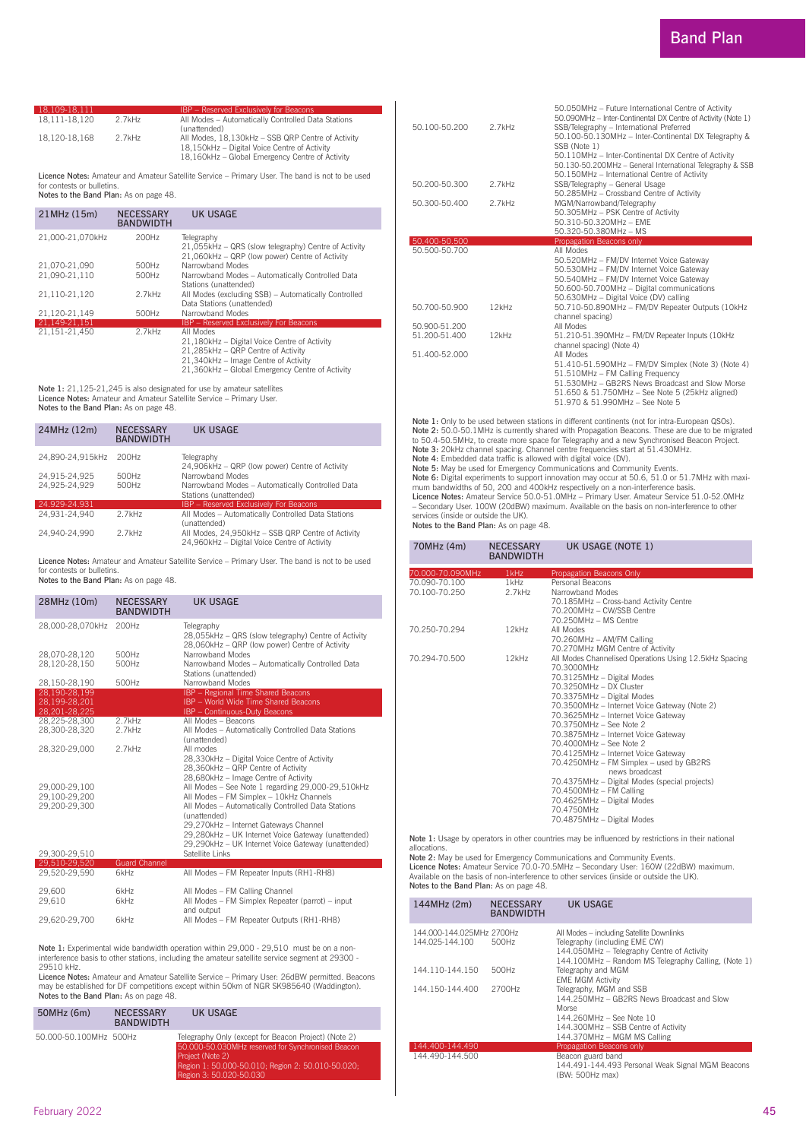| 18.109-18.111 |        | <b>IBP</b> – Reserved Exclusively for Beacons      |
|---------------|--------|----------------------------------------------------|
| 18.111-18.120 | 2.7kHz | All Modes - Automatically Controlled Data Stations |
|               |        | (unattended)                                       |
| 18.120-18.168 | 2.7kHz | All Modes, 18.130kHz - SSB QRP Centre of Activity  |
|               |        | 18.150kHz - Digital Voice Centre of Activity       |
|               |        | 18,160kHz - Global Emergency Centre of Activity    |

Licence Notes: Amateur and Amateur Satellite Service – Primary User. The band is not to be used for contests or bulletins.<br>**Notes to the Band Plan:** As on page 48.

| 21MHz (15m)      | <b>NECESSARY</b><br><b>BANDWIDTH</b> | <b>UK USAGE</b>                                                                                                                                                                            |
|------------------|--------------------------------------|--------------------------------------------------------------------------------------------------------------------------------------------------------------------------------------------|
| 21,000-21,070kHz | 200Hz                                | Telegraphy<br>21,055kHz - QRS (slow telegraphy) Centre of Activity<br>21.060kHz - QRP (low power) Centre of Activity                                                                       |
| 21.070-21.090    | 500Hz                                | Narrowband Modes                                                                                                                                                                           |
| 21.090-21.110    | 500Hz                                | Narrowband Modes - Automatically Controlled Data<br>Stations (unattended)                                                                                                                  |
| 21.110-21.120    | 2.7kHz                               | All Modes (excluding SSB) - Automatically Controlled<br>Data Stations (unattended)                                                                                                         |
| 21.120-21.149    | 500Hz                                | Narrowband Modes                                                                                                                                                                           |
| 21.149-21.151    |                                      | <b>IBP</b> - Reserved Exclusively For Beacons                                                                                                                                              |
| 21.151-21.450    | 2.7kHz                               | All Modes<br>21,180kHz - Digital Voice Centre of Activity<br>21.285kHz - QRP Centre of Activity<br>21,340kHz - Image Centre of Activity<br>21.360kHz - Global Emergency Centre of Activity |

Note 1: 21,125-21,245 is also designated for use by amateur satellites Licence Notes: Amateur and Amateur Satellite Service – Primary User.<br>Notes to the Band Plan: As on page 48.

| 24MHz (12m)      | <b>NECESSARY</b><br><b>BANDWIDTH</b> | UK USAGE                                                                                          |
|------------------|--------------------------------------|---------------------------------------------------------------------------------------------------|
| 24.890-24.915kHz | 200Hz                                | Telegraphy<br>24,906kHz - QRP (low power) Centre of Activity                                      |
| 24.915-24.925    | 500Hz                                | Narrowband Modes                                                                                  |
| 24.925-24.929    | 500Hz                                | Narrowband Modes - Automatically Controlled Data<br>Stations (unattended)                         |
| 24.929-24.931    |                                      | <b>IBP</b> – Reserved Exclusively For Beacons                                                     |
| 24.931-24.940    | 2.7kHz                               | All Modes - Automatically Controlled Data Stations<br>(unattended)                                |
| 24.940-24.990    | 2.7kHz                               | All Modes, 24,950kHz - SSB QRP Centre of Activity<br>24,960kHz - Digital Voice Centre of Activity |

Licence Notes: Amateur and Amateur Satellite Service – Primary User. The band is not to be used<br>for contests or bulletins.

Notes to the Band Plan: As on page 48.

| 28MHz (10m)                                     | <b>NECESSARY</b><br><b>BANDWIDTH</b> | <b>UK USAGE</b>                                                                                                                                                                                                                                                                                                         |
|-------------------------------------------------|--------------------------------------|-------------------------------------------------------------------------------------------------------------------------------------------------------------------------------------------------------------------------------------------------------------------------------------------------------------------------|
| 28.000-28.070kHz                                | 200Hz                                | Telegraphy<br>28,055kHz - QRS (slow telegraphy) Centre of Activity<br>28.060kHz - QRP (low power) Centre of Activity                                                                                                                                                                                                    |
| 28.070-28.120<br>28.120-28.150                  | 500Hz<br>500Hz                       | Narrowband Modes<br>Narrowband Modes - Automatically Controlled Data<br>Stations (unattended)                                                                                                                                                                                                                           |
| 28.150-28.190                                   | 500Hz                                | Narrowband Modes                                                                                                                                                                                                                                                                                                        |
| 28.190-28.199<br>28.199-28.201<br>28.201-28.225 |                                      | IBP - Regional Time Shared Beacons<br><b>IBP</b> - World Wide Time Shared Beacons<br>IBP - Continuous-Duty Beacons                                                                                                                                                                                                      |
| 28.225-28.300<br>28.300-28.320                  | 2.7kHz<br>2.7kHz                     | All Modes - Beacons<br>All Modes - Automatically Controlled Data Stations<br>(unattended)                                                                                                                                                                                                                               |
| 28.320-29.000                                   | 2.7kHz                               | All modes<br>28,330kHz - Digital Voice Centre of Activity<br>28.360kHz - QRP Centre of Activity<br>28,680kHz - Image Centre of Activity                                                                                                                                                                                 |
| 29.000-29.100<br>29.100-29.200<br>29.200-29.300 |                                      | All Modes - See Note 1 regarding 29,000-29,510kHz<br>All Modes - FM Simplex - 10kHz Channels<br>All Modes - Automatically Controlled Data Stations<br>(unattended)<br>29.270kHz - Internet Gateways Channel<br>29,280kHz - UK Internet Voice Gateway (unattended)<br>29.290kHz - UK Internet Voice Gateway (unattended) |
| 29.300-29.510                                   |                                      | Satellite Links                                                                                                                                                                                                                                                                                                         |
| 29.510-29.520<br>29,520-29,590                  | <b>Guard Channel</b><br>6kHz         | All Modes - FM Repeater Inputs (RH1-RH8)                                                                                                                                                                                                                                                                                |
| -- ---                                          |                                      | ___________                                                                                                                                                                                                                                                                                                             |

| 29,600        | 6kHz | All Modes - FM Calling Channel                          |
|---------------|------|---------------------------------------------------------|
| 29.610        | 6kHz | All Modes - FM Simplex Repeater (parrot) - input        |
| 29.620-29.700 | 6kHz | and output<br>All Modes - FM Repeater Outputs (RH1-RH8) |

Note 1: Experimental wide bandwidth operation within 29,000 - 29,510 must be on a noninterference basis to other stations, including the amateur satellite service segment at 29300 - 29510 kHz.

Licence Notes: Amateur and Amateur Satellite Service – Primary User: 26dBW permitted. Beacons may be established for DF competitions except within 50km of NGR SK985640 (Waddington).<br>**Notes to the Band Plan:** As on page 48.

| 50MHz (6m)             | <b>NECESSARY</b><br><b>BANDWIDTH</b> | UK USAGE                                                                                                                      |
|------------------------|--------------------------------------|-------------------------------------------------------------------------------------------------------------------------------|
| 50.000-50.100MHz 500Hz |                                      | Telegraphy Only (except for Beacon Project) (Note 2)<br>50.000-50.030MHz reserved for Synchronised Beacon<br>Project (Note 2) |

Region 1: 50.000-50.010; Region 2: 50.010-50.020; Region 3: 50.020-50.030

| 50.100-50.200 | 2.7kHz | 50.050MHz - Future International Centre of Activity<br>50.090MHz - Inter-Continental DX Centre of Activity (Note 1)<br>SSB/Telegraphy - International Preferred<br>50.100-50.130MHz - Inter-Continental DX Telegraphy &<br>SSB (Note 1)<br>50.110MHz - Inter-Continental DX Centre of Activity<br>50.130-50.200MHz - General International Telegraphy & SSB<br>50.150MHz - International Centre of Activity |
|---------------|--------|-------------------------------------------------------------------------------------------------------------------------------------------------------------------------------------------------------------------------------------------------------------------------------------------------------------------------------------------------------------------------------------------------------------|
| 50.200-50.300 | 2.7kHz | SSB/Telegraphy - General Usage<br>50.285MHz - Crossband Centre of Activity                                                                                                                                                                                                                                                                                                                                  |
| 50.300-50.400 | 2.7kHz | MGM/Narrowband/Telegraphy<br>50.305MHz - PSK Centre of Activity<br>50.310-50.320MHz - FMF<br>50.320-50.380MHz - MS                                                                                                                                                                                                                                                                                          |
| 50.400-50.500 |        | Propagation Beacons only                                                                                                                                                                                                                                                                                                                                                                                    |
| 50.500-50.700 |        | All Modes<br>50.520MHz - FM/DV Internet Voice Gateway<br>50.530MHz - FM/DV Internet Voice Gateway<br>50.540MHz - FM/DV Internet Voice Gateway<br>50.600-50.700MHz - Digital communications<br>50.630MHz - Digital Voice (DV) calling                                                                                                                                                                        |
| 50.700-50.900 | 12kHz  | 50.710-50.890MHz - FM/DV Repeater Outputs (10kHz<br>channel spacing)                                                                                                                                                                                                                                                                                                                                        |
| 50.900-51.200 |        | All Modes                                                                                                                                                                                                                                                                                                                                                                                                   |
| 51.200-51.400 | 12kHz  | 51.210-51.390MHz - FM/DV Repeater Inputs (10kHz<br>channel spacing) (Note 4)                                                                                                                                                                                                                                                                                                                                |
| 51.400-52.000 |        | All Modes<br>51.410-51.590MHz - FM/DV Simplex (Note 3) (Note 4)<br>51.510MHz - FM Calling Frequency<br>51.530MHz - GB2RS News Broadcast and Slow Morse<br>51.650 & 51.750MHz - See Note 5 (25kHz aligned)<br>51.970 & 51.990MHz - See Note 5                                                                                                                                                                |

Note 1: Only to be used between stations in different continents (not for intra-European QSOs).<br>
Note 2: 50.0-50.1MHz is currently shared with Propagation Beacons. These are due to be migrated<br>
to 50.4-50.5MHz, to create m

services (inside or outside the UK).<br>**Notes to the Band Plan:** As on page 48.

| 70MHz (4m)       | <b>NECESSARY</b><br><b>BANDWIDTH</b> | UK USAGE (NOTE 1)                                                                                                                                                                                                                                                                                                                                                                                                                                                                                                                                                                                         |
|------------------|--------------------------------------|-----------------------------------------------------------------------------------------------------------------------------------------------------------------------------------------------------------------------------------------------------------------------------------------------------------------------------------------------------------------------------------------------------------------------------------------------------------------------------------------------------------------------------------------------------------------------------------------------------------|
| 70.000-70.090MHz | 1kHz                                 | Propagation Beacons Only                                                                                                                                                                                                                                                                                                                                                                                                                                                                                                                                                                                  |
| 70.090-70.100    | $1$ kHz                              | Personal Beacons                                                                                                                                                                                                                                                                                                                                                                                                                                                                                                                                                                                          |
| 70.100-70.250    | 2.7kHz                               | Narrowband Modes<br>70.185MHz - Cross-band Activity Centre<br>70.200MHz - CW/SSB Centre<br>70.250MHz - MS Centre                                                                                                                                                                                                                                                                                                                                                                                                                                                                                          |
| 70.250-70.294    | 12kHz                                | All Modes<br>70.260MHz - AM/FM Calling<br>70.270MHz MGM Centre of Activity                                                                                                                                                                                                                                                                                                                                                                                                                                                                                                                                |
| 70.294-70.500    | 12kHz                                | All Modes Channelised Operations Using 12.5kHz Spacing<br>70.3000MHz<br>70.3125MHz - Digital Modes<br>70.3250MHz - DX Cluster<br>70.3375MHz - Digital Modes<br>70.3500MHz - Internet Voice Gateway (Note 2)<br>70.3625MHz - Internet Voice Gateway<br>70.3750MHz - See Note 2<br>70.3875MHz - Internet Voice Gateway<br>70.4000MHz - See Note 2<br>70.4125MHz - Internet Voice Gateway<br>70.4250MHz - FM Simplex - used by GB2RS<br>news broadcast<br>70.4375MHz - Digital Modes (special projects)<br>70.4500MHz - FM Calling<br>70.4625MHz - Digital Modes<br>70.4750MHz<br>70.4875MHz - Digital Modes |

Note 1: Usage by operators in other countries may be influenced by restrictions in their national allocations.

Note 2: May be used for Emergency Communications and Community Events.<br>Licence Notes: Amateur Service 70.0-70.5MHz – Secondary User: 160W (22dBW) maximum.<br>Available on the basis of non-interference to other services (insid Notes to the Band Plan: As on page 48.

| 144MHz (2m)<br><b>NECESSARY</b><br><b>BANDWIDTH</b>   | UK USAGE                                                                                                                                                                         |
|-------------------------------------------------------|----------------------------------------------------------------------------------------------------------------------------------------------------------------------------------|
| 144.000-144.025MHz 2700Hz<br>144.025-144.100<br>500Hz | All Modes - including Satellite Downlinks<br>Telegraphy (including EME CW)<br>144.050MHz - Telegraphy Centre of Activity<br>144.100MHz - Random MS Telegraphy Calling, (Note 1)  |
| 144.110-144.150<br>500Hz                              | Telegraphy and MGM<br><b>EME MGM Activity</b>                                                                                                                                    |
| 144.150-144.400<br>2700Hz                             | Telegraphy, MGM and SSB<br>144.250MHz - GB2RS News Broadcast and Slow<br>Morse<br>144.260MHz - See Note 10<br>144.300MHz - SSB Centre of Activity<br>144.370MHz - MGM MS Calling |
| 144.400-144.490<br>144.490-144.500                    | Propagation Beacons only<br>Beacon guard band<br>144.491-144.493 Personal Weak Signal MGM Beacons<br>(BW: 500Hz max)                                                             |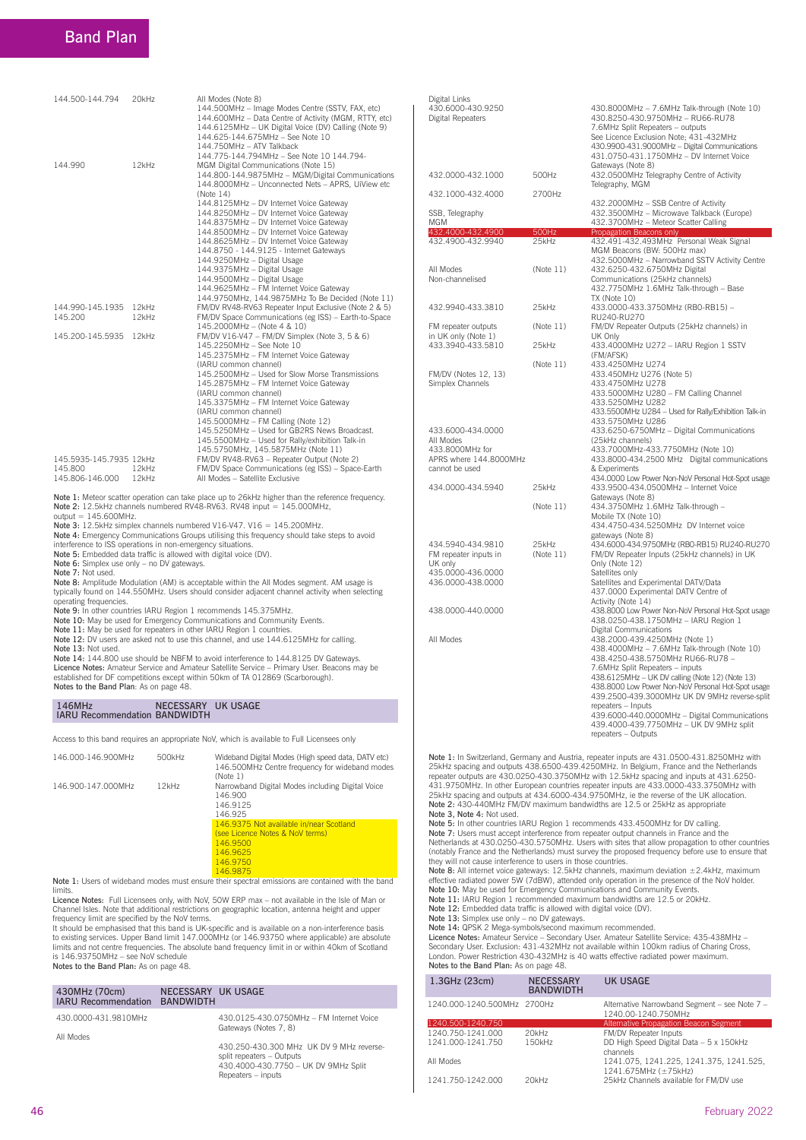### Band Plan

| 144.500-144.794                                       | 20kHz             | All Modes (Note 8)<br>144.500MHz - Image Modes Centre (SSTV, FAX, etc)<br>144.600MHz - Data Centre of Activity (MGM, RTTY, etc)<br>144.6125MHz - UK Digital Voice (DV) Calling (Note 9)<br>144.625-144.675MHz - See Note 10<br>144.750MHz - ATV Talkback<br>144.775-144.794MHz - See Note 10 144.794-                                                                                                                                                                                                                                                                                                                    |
|-------------------------------------------------------|-------------------|--------------------------------------------------------------------------------------------------------------------------------------------------------------------------------------------------------------------------------------------------------------------------------------------------------------------------------------------------------------------------------------------------------------------------------------------------------------------------------------------------------------------------------------------------------------------------------------------------------------------------|
| 144.990                                               | 12kHz             | MGM Digital Communications (Note 15)<br>144.800-144.9875MHz - MGM/Digital Communications<br>144.8000MHz - Unconnected Nets - APRS, UiView etc<br>(Note 14)<br>144.8125MHz - DV Internet Voice Gateway<br>144.8250MHz - DV Internet Voice Gateway<br>144.8375MHz - DV Internet Voice Gateway<br>144.8500MHz - DV Internet Voice Gateway<br>144.8625MHz - DV Internet Voice Gateway<br>144.8750 - 144.9125 - Internet Gateways<br>144.9250MHz - Digital Usage<br>144.9375MHz - Digital Usage<br>144.9500MHz - Digital Usage<br>144.9625MHz - FM Internet Voice Gateway<br>144.9750MHz, 144.9875MHz To Be Decided (Note 11) |
| 144.990-145.1935<br>145.200                           | $12$ kHz<br>12kHz | FM/DV RV48-RV63 Repeater Input Exclusive (Note 2 & 5)<br>FM/DV Space Communications (eg ISS) - Earth-to-Space                                                                                                                                                                                                                                                                                                                                                                                                                                                                                                            |
| 145.200-145.5935                                      | 12kHz             | 145.2000MHz - (Note 4 & 10)<br>FM/DV V16-V47 - FM/DV Simplex (Note 3, 5 & 6)<br>145.2250MHz - See Note 10<br>145.2375MHz - FM Internet Voice Gateway<br>(IARU common channel)<br>145.2500MHz - Used for Slow Morse Transmissions<br>145.2875MHz - FM Internet Voice Gateway<br>(IARU common channel)<br>145.3375MHz - FM Internet Voice Gateway<br>(IARU common channel)<br>145.5000MHz - FM Calling (Note 12)<br>145.5250MHz - Used for GB2RS News Broadcast.<br>145.5500MHz - Used for Rally/exhibition Talk-in<br>145.5750MHz, 145.5875MHz (Note 11)                                                                  |
| 145.5935-145.7935 12kHz<br>145.800<br>145.806-146.000 | 12kHz<br>12kHz    | FM/DV RV48-RV63 - Repeater Output (Note 2)<br>FM/DV Space Communications (eg ISS) - Space-Earth<br>All Modes - Satellite Exclusive                                                                                                                                                                                                                                                                                                                                                                                                                                                                                       |

 Note 1: Meteor scatter operation can take place up to 26kHz higher than the reference frequency. Note 2: 12.5kHz channels numbered RV48-RV63. RV48 input = 145.000MHz,  $\text{output} = 145.600 \text{MHz}.$ 

Note 3: 12.5kHz simplex channels numbered V16-V47. V16 = 145.200MHz.

Note 4: Emergency Communications Groups utilising this frequency should take steps to avoid interference to ISS operations in non-emergency situations.

Note 5: Embedded data traffic is allowed with digital voice (DV).<br>Note 6: Simplex use only – no DV gateways.

Note 7: Not used.

Note 8: Amplitude Modulation (AM) is acceptable within the All Modes segment. AM usage is typically found on 144.550MHz. Users should consider adjacent channel activity when selecting operating frequencies.

Note 9: In other countries IARU Region 1 recommends 145.375MHz. Note 10: May be used for Emergency Communications and Community Events. Note 11: May be used for repeaters in other IARU Region 1 countries.

Note 12: DV users are asked not to use this channel, and use 144.6125MHz for calling.

Note 13: Not used.

Note 14: 144.800 use should be NBFM to avoid interference to 144.8125 DV Gateways. Licence Notes: Amateur Service and Amateur Satellite Service – Primary User. Beacons may be<br>established for DF competitions except within 50km of TA 012869 (Scarborough). Notes to the Band Plan: As on page 48.

## 146MHz NECESSARY UK USAGE IARU Recommendation BANDWIDTH

Access to this band requires an appropriate NoV, which is available to Full Licensees only

| 146.000-146.900MHz | 500kHz | Wideband Digital Modes (High speed data, DATV etc)<br>146.500MHz Centre frequency for wideband modes<br>(Note 1) |
|--------------------|--------|------------------------------------------------------------------------------------------------------------------|
| 146.900-147.000MHz | 12kHz  | Narrowband Digital Modes including Digital Voice<br>146.900<br>146.9125<br>146.925                               |
|                    |        | 146.9375 Not available in/near Scotland<br>(see Licence Notes & NoV terms)<br>146.9500<br>146.9625<br>146.9750   |

146.9875<br>Note 1: Users of wideband modes must ensure their spectral emissions are contained with the band limits.

Licence Notes: Full Licensees only, with NoV, 50W ERP max – not available in the Isle of Man or Channel Isles. Note that additional restrictions on geographic location, antenna height and upper frequency limit are specified by the NoV terms.<br>It should be emphasised that this band is UK-specific and is available on a non-interference basis

to existing services. Upper Band limit 147.000MHz (or 146.93750 where applicable) are absolute<br>limits and not centre frequencies. The absolute band frequency limit in or within 40km of Scotland<br>is 146.93750MHz – see NoV sc Notes to the Band Plan: As on page 48.

| 430MHz (70cm)<br><b>IARU Recommendation BANDWIDTH</b> | NECESSARY UK USAGE |                                                                                                                                     |
|-------------------------------------------------------|--------------------|-------------------------------------------------------------------------------------------------------------------------------------|
| 430.0000-431.9810MHz<br>All Modes                     |                    | 430.0125-430.0750MHz - FM Internet Voice<br>Gateways (Notes 7, 8)                                                                   |
|                                                       |                    | 430.250-430.300 MHz UK DV 9 MHz reverse-<br>split repeaters - Outputs<br>430.4000-430.7750 - UK DV 9MHz Split<br>Repeaters - inputs |

| Digital Links<br>430.6000-430.9250<br>Digital Repeaters                                       |                    | 430.8000MHz - 7.6MHz Talk-through (Note 10)<br>430.8250-430.9750MHz - RU66-RU78<br>7.6MHz Split Repeaters - outputs<br>See Licence Exclusion Note; 431-432MHz<br>430.9900-431.9000MHz - Digital Communications<br>431.0750-431.1750MHz - DV Internet Voice                                                                                                                                                                                                                              |
|-----------------------------------------------------------------------------------------------|--------------------|-----------------------------------------------------------------------------------------------------------------------------------------------------------------------------------------------------------------------------------------------------------------------------------------------------------------------------------------------------------------------------------------------------------------------------------------------------------------------------------------|
| 432.0000-432.1000                                                                             | 500Hz              | Gateways (Note 8)<br>432.0500MHz Telegraphy Centre of Activity<br>Telegraphy, MGM                                                                                                                                                                                                                                                                                                                                                                                                       |
| 432.1000-432.4000                                                                             | 2700Hz             | 432.2000MHz - SSB Centre of Activity                                                                                                                                                                                                                                                                                                                                                                                                                                                    |
| SSB, Telegraphy<br>MGM                                                                        |                    | 432.3500MHz - Microwave Talkback (Europe)<br>432.3700MHz - Meteor Scatter Calling                                                                                                                                                                                                                                                                                                                                                                                                       |
| 432.4000-432.4900                                                                             | 500Hz              | Propagation Beacons only                                                                                                                                                                                                                                                                                                                                                                                                                                                                |
| 432.4900-432.9940<br>All Modes                                                                | 25kHz<br>(Note 11) | 432.491-432.493MHz Personal Weak Signal<br>MGM Beacons (BW: 500Hz max)<br>432.5000MHz - Narrowband SSTV Activity Centre<br>432.6250-432.6750MHz Digital                                                                                                                                                                                                                                                                                                                                 |
| Non-channelised                                                                               |                    | Communications (25kHz channels)<br>432.7750MHz 1.6MHz Talk-through - Base<br><b>TX (Note 10)</b>                                                                                                                                                                                                                                                                                                                                                                                        |
| 432.9940-433.3810                                                                             | 25kHz              | 433.0000-433.3750MHz (RB0-RB15) -<br>RU240-RU270                                                                                                                                                                                                                                                                                                                                                                                                                                        |
| FM repeater outputs<br>in UK only (Note 1)                                                    | (Note 11)          | FM/DV Repeater Outputs (25kHz channels) in<br>UK Only                                                                                                                                                                                                                                                                                                                                                                                                                                   |
| 433.3940-433.5810                                                                             | 25kHz              | 433.4000MHz U272 - IARU Region 1 SSTV<br>(FM/AFSK)                                                                                                                                                                                                                                                                                                                                                                                                                                      |
| FM/DV (Notes 12, 13)<br>Simplex Channels                                                      | (Note 11)          | 433.4250MHz U274<br>433.450MHz U276 (Note 5)<br>433.4750MHz U278                                                                                                                                                                                                                                                                                                                                                                                                                        |
| 433.6000-434.0000<br>All Modes<br>433.8000MHz for<br>APRS where 144.8000MHz<br>cannot be used |                    | 433.5000MHz U280 - FM Calling Channel<br>433.5250MHz U282<br>433.5500MHz U284 - Used for Rally/Exhibition Talk-in<br>433.5750MHz U286<br>433.6250-6750MHz - Digital Communications<br>(25kHz channels)<br>433.7000MHz-433.7750MHz (Note 10)<br>433.8000-434.2500 MHz Digital communications<br>& Experiments                                                                                                                                                                            |
| 434.0000-434.5940                                                                             | 25kHz              | 434.0000 Low Power Non-NoV Personal Hot-Spot usage<br>433.9500-434.0500MHz - Internet Voice<br>Gateways (Note 8)                                                                                                                                                                                                                                                                                                                                                                        |
|                                                                                               | (Note 11)          | 434.3750MHz 1.6MHz Talk-through -<br>Mobile TX (Note 10)<br>434.4750-434.5250MHz DV Internet voice<br>gateways (Note 8)                                                                                                                                                                                                                                                                                                                                                                 |
| 434.5940-434.9810<br>FM repeater inputs in<br>UK only                                         | 25kHz<br>(Note 11) | 434.6000-434.9750MHz (RB0-RB15) RU240-RU270<br>FM/DV Repeater Inputs (25kHz channels) in UK<br>Only (Note 12)                                                                                                                                                                                                                                                                                                                                                                           |
| 435.0000-436.0000<br>436.0000-438.0000                                                        |                    | Satellites only<br>Satellites and Experimental DATV/Data<br>437.0000 Experimental DATV Centre of<br>Activity (Note 14)                                                                                                                                                                                                                                                                                                                                                                  |
| 438.0000-440.0000                                                                             |                    | 438.8000 Low Power Non-NoV Personal Hot-Spot usage<br>438.0250-438.1750MHz - IARU Region 1                                                                                                                                                                                                                                                                                                                                                                                              |
| All Modes                                                                                     |                    | <b>Digital Communications</b><br>438.2000-439.4250MHz (Note 1)<br>438.4000MHz - 7.6MHz Talk-through (Note 10)<br>438.4250-438.5750MHz RU66-RU78 -<br>7.6MHz Split Repeaters - inputs<br>438.6125MHz - UK DV calling (Note 12) (Note 13)<br>438.8000 Low Power Non-NoV Personal Hot-Spot usage<br>439.2500-439.3000MHz UK DV 9MHz reverse-split<br>repeaters - Inputs<br>439.6000-440.0000MHz - Digital Communications<br>439.4000-439.7750MHz - UK DV 9MHz split<br>repeaters - Outputs |
|                                                                                               |                    | Note 1: In Switzerland, Germany and Austria, repeater inputs are 431.0500-431.8250MHz with<br>25kHz spacing and outputs 438.6500-439.4250MHz. In Belgium, France and the Netherlands<br>repeater outputs are 430.0250-430.3750MHz with 12.5kHz spacing and inputs at 431.6250-<br>431.9750MHz. In other European countries repeater inputs are 433.0000-433.3750MHz with<br>25kHz spacing and outputs at 434.6000-434.9750MHz, ie the reverse of the UK allocation.                     |

25kHz spacing and outputs at 434.6000-434.9750MHz, ie the reverse of the UK allocation. Note 2: 430-440MHz FM/DV maximum bandwidths are 12.5 or 25kHz as appropriate Note 3, Note 4: Not used.

Note 5: In other countries IARU Region 1 recommends 433.4500MHz for DV calling. Note 7: Users must accept interference from repeater output channels in France and the Netherlands at 430.0250-430.5750MHz. Users with sites that allow propagation to other countries (notably France and the Netherlands) must survey the proposed frequency before use to ensure that they will not cause interference to users in those countries.<br>Note 8: All internet voice gateways: 12.5kHz channels, maximum deviation ±2.4kHz, maximum

effective radiated power 5W (7dBW), attended only operation in the presence of the NoV holder.<br>**Note 10**: May be used for Emergency Communications and Community Events.<br>**Note 11:** IARU Region 1 recommended maximum bandwidt

Note 13: Simplex use only – no DV gateways. Note 14: QPSK 2 Mega-symbols/second maximum recommended.

Licence Notes: Amateur Service - Secondary User. Amateur Satellite Service: 435-438MHz -<br>Secondary User. Exclusion: 431-432MHz not available within 100km radius of Charing Cross, London. Power Restriction 430-432MHz is 40 watts effective radiated power maximum.<br>Notes to the Band Plan: As on page 48.

| 1.3GHz (23cm)               | <b>NECESSARY</b><br><b>BANDWIDTH</b> | <b>UK USAGE</b>                                                      |
|-----------------------------|--------------------------------------|----------------------------------------------------------------------|
| 1240.000-1240.500MHz 2700Hz |                                      | Alternative Narrowband Segment - see Note 7 -<br>1240.00-1240.750MHz |
| 1240.500-1240.750           |                                      | Alternative Propagation Beacon Segment                               |
| 1240.750-1241.000           | 20kHz                                | FM/DV Repeater Inputs                                                |
| 1241.000-1241.750           | 150kHz                               | DD High Speed Digital Data - 5 x 150kHz<br>channels                  |
| All Modes                   |                                      | 1241.075, 1241.225, 1241.375, 1241.525,<br>1241.675MHz (±75kHz)      |
| 1241.750-1242.000           | 20kHz                                | 25kHz Channels available for FM/DV use                               |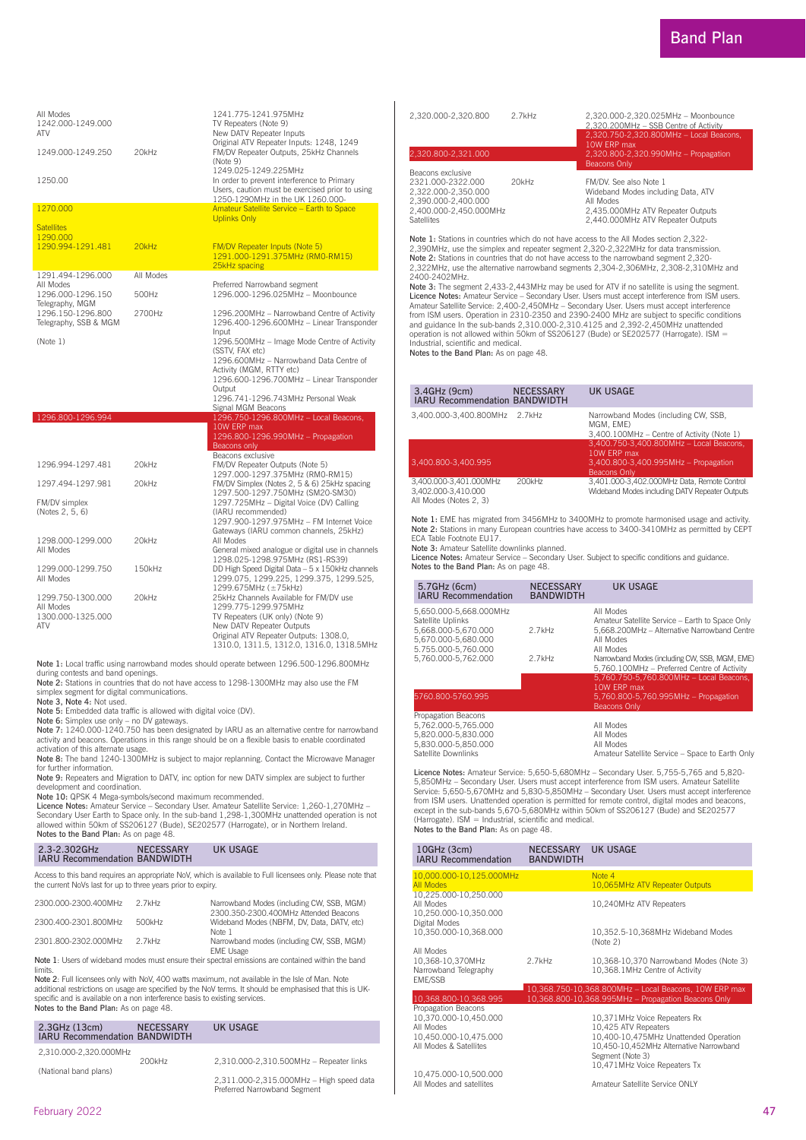| All Modes<br>1242.000-1249.000<br>ATV<br>1249.000-1249.250<br>1250.00 | 20kHz     | 1241.775-1241.975MHz<br>TV Repeaters (Note 9)<br>New DATV Repeater Inputs<br>Original ATV Repeater Inputs: 1248, 1249<br>FM/DV Repeater Outputs, 25kHz Channels<br>(Note 9)<br>1249.025-1249.225MHz<br>In order to prevent interference to Primary<br>Users, caution must be exercised prior to using<br>1250-1290MHz in the UK 1260.000- |
|-----------------------------------------------------------------------|-----------|-------------------------------------------------------------------------------------------------------------------------------------------------------------------------------------------------------------------------------------------------------------------------------------------------------------------------------------------|
| 1270.000                                                              |           | Amateur Satellite Service - Earth to Space                                                                                                                                                                                                                                                                                                |
|                                                                       |           | <b>Uplinks Only</b>                                                                                                                                                                                                                                                                                                                       |
| <b>Satellites</b><br>1290.000                                         |           |                                                                                                                                                                                                                                                                                                                                           |
| 1290.994-1291.481                                                     | 20kHz     | <b>FM/DV Repeater Inputs (Note 5)</b><br>1291.000-1291.375MHz (RM0-RM15)<br>25kHz spacing                                                                                                                                                                                                                                                 |
| 1291.494-1296.000                                                     | All Modes |                                                                                                                                                                                                                                                                                                                                           |
| All Modes                                                             |           | Preferred Narrowband segment                                                                                                                                                                                                                                                                                                              |
| 1296.000-1296.150<br>Telegraphy, MGM                                  | 500Hz     | 1296.000-1296.025MHz - Moonbounce                                                                                                                                                                                                                                                                                                         |
| 1296.150-1296.800<br>Telegraphy, SSB & MGM                            | 2700Hz    | 1296.200MHz - Narrowband Centre of Activity<br>1296.400-1296.600MHz - Linear Transponder<br>Input                                                                                                                                                                                                                                         |
| (Note 1)                                                              |           | 1296.500MHz - Image Mode Centre of Activity                                                                                                                                                                                                                                                                                               |
|                                                                       |           | (SSTV, FAX etc)                                                                                                                                                                                                                                                                                                                           |
|                                                                       |           | 1296.600MHz - Narrowband Data Centre of<br>Activity (MGM, RTTY etc)                                                                                                                                                                                                                                                                       |
|                                                                       |           | 1296.600-1296.700MHz - Linear Transponder                                                                                                                                                                                                                                                                                                 |
|                                                                       |           | Output                                                                                                                                                                                                                                                                                                                                    |
|                                                                       |           | 1296.741-1296.743MHz Personal Weak                                                                                                                                                                                                                                                                                                        |
| 1296.800-1296.994                                                     |           | Signal MGM Beacons<br>1296.750-1296.800MHz - Local Beacons,                                                                                                                                                                                                                                                                               |
|                                                                       |           | 10W ERP max                                                                                                                                                                                                                                                                                                                               |
|                                                                       |           | 1296.800-1296.990MHz - Propagation                                                                                                                                                                                                                                                                                                        |
|                                                                       |           | Beacons only<br>Beacons exclusive                                                                                                                                                                                                                                                                                                         |
| 1296.994-1297.481                                                     | 20kHz     | FM/DV Repeater Outputs (Note 5)                                                                                                                                                                                                                                                                                                           |
|                                                                       |           | 1297.000-1297.375MHz (RM0-RM15)                                                                                                                                                                                                                                                                                                           |
| 1297.494-1297.981                                                     | 20kHz     | FM/DV Simplex (Notes 2, 5 & 6) 25kHz spacing                                                                                                                                                                                                                                                                                              |
| FM/DV simplex                                                         |           | 1297.500-1297.750MHz (SM20-SM30)<br>1297.725MHz - Digital Voice (DV) Calling                                                                                                                                                                                                                                                              |
| (Notes 2, 5, 6)                                                       |           | (IARU recommended)                                                                                                                                                                                                                                                                                                                        |
|                                                                       |           | 1297.900-1297.975MHz - FM Internet Voice                                                                                                                                                                                                                                                                                                  |
|                                                                       |           | Gateways (IARU common channels, 25kHz)                                                                                                                                                                                                                                                                                                    |
| 1298.000-1299.000<br>All Modes                                        | 20kHz     | All Modes<br>General mixed analogue or digital use in channels                                                                                                                                                                                                                                                                            |
|                                                                       |           | 1298.025-1298.975MHz (RS1-RS39)                                                                                                                                                                                                                                                                                                           |
| 1299.000-1299.750                                                     | 150kHz    | DD High Speed Digital Data - 5 x 150kHz channels                                                                                                                                                                                                                                                                                          |
| All Modes                                                             |           | 1299.075, 1299.225, 1299.375, 1299.525,<br>1299.675MHz (±75kHz)                                                                                                                                                                                                                                                                           |
| 1299.750-1300.000                                                     | 20kHz     | 25kHz Channels Available for FM/DV use                                                                                                                                                                                                                                                                                                    |
| All Modes                                                             |           | 1299.775-1299.975MHz                                                                                                                                                                                                                                                                                                                      |
| 1300.000-1325.000                                                     |           | TV Repeaters (UK only) (Note 9)                                                                                                                                                                                                                                                                                                           |
| ATV                                                                   |           | New DATV Repeater Outputs<br>Original ATV Repeater Outputs: 1308.0,                                                                                                                                                                                                                                                                       |
|                                                                       |           | 1310.0, 1311.5, 1312.0, 1316.0, 1318.5MHz                                                                                                                                                                                                                                                                                                 |

**Note 1:** Local traffic using narrowband modes should operate between 1296.500-1296.800MHz<br>during contests and band openings.

Note 2: Stations in countries that do not have access to 1298-1300MHz may also use the FM simplex segment for digital communications.

Note 3, Note 4: Not used.

Note 5: Embedded data traffic is allowed with digital voice (DV).

Note 6: Simplex use only – no DV gateways.<br>Note 7: 1240.000-1240.750 has been designated by IARU as an alternative centre for narrowband

activity and beacons. Operations in this range should be on a flexible basis to enable coordinated<br>activation of this alternate usage.<br>**Note 8:** The band 1240-1300MHz is subject to major replanning. Contact the Microwave M for further information.

**Note 9:** Repeaters and Migration to DATV, inc option for new DATV simplex are subject to further<br>development and coordination.

**Note 10:** QPSK 4 Mega-symbols/second maximum recommended.<br>**Licence Notes:** Amateur Service – Secondary User. Amateur Satellite Service: 1,260-1,270MHz –

Secondary User Earth to Space only. In the sub-band 1,298-1,300MHz unattended operation is not allowed within 50km of SS206127 (Bude), SE202577 (Harrogate), or in Northern Ireland. Notes to the Band Plan: As on page 48.

### 2.3-2.302GHz NECESSARY UK USAGE IARU Recommendation BANDWIDTH

Access to this band requires an appropriate NoV, which is available to Full licensees only. Please note that the current NoVs last for up to three years prior to expiry.

| 2300.000-2300.400MHz                                                                               | 2.7kH <sub>z</sub> | Narrowband Modes (including CW, SSB, MGM)<br>2300.350-2300.400MHz Attended Beacons |  |
|----------------------------------------------------------------------------------------------------|--------------------|------------------------------------------------------------------------------------|--|
| 2300.400-2301.800MHz                                                                               | 500kHz             | Wideband Modes (NBFM, DV, Data, DATV, etc)<br>Note 1                               |  |
| 2301.800-2302.000MHz                                                                               | 2.7kHz             | Narrowband modes (including CW, SSB, MGM)<br><b>EME Usage</b>                      |  |
| Note 1: Users of wideband modes must ensure their spectral emissions are contained within the band |                    |                                                                                    |  |

limits.

Note 2: Full licensees only with NoV, 400 watts maximum, not available in the Isle of Man. Note<br>additional restrictions on usage are specified by the NoV terms. It should be emphasised that this is UK-Specific and is available on a non interference basis to existing services. Notes to the Band Plan: As on page 48.

| $2.3$ GHz $(13cm)$<br><b>IARU Recommendation BANDWIDTH</b> | <b>NECESSARY</b> | UK USAGE                                                                 |
|------------------------------------------------------------|------------------|--------------------------------------------------------------------------|
| 2.310.000-2.320.000MHz                                     |                  |                                                                          |
|                                                            | 200kHz           | 2,310.000-2,310.500MHz - Repeater links                                  |
| (National band plans)                                      |                  |                                                                          |
|                                                            |                  | 2.311.000-2.315.000MHz - High speed data<br>Preferred Narrowband Segment |

| 2,320.000-2,320.800                                                                                                                 | 2.7kHz | 2.320.000-2.320.025MHz - Moonbounce<br>2.320.200MHz - SSB Centre of Activity<br>2,320.750-2,320.800MHz - Local Beacons,<br>10W FRP max<br>2,320.800-2,320.990MHz - Propagation<br>Beacons Only |
|-------------------------------------------------------------------------------------------------------------------------------------|--------|------------------------------------------------------------------------------------------------------------------------------------------------------------------------------------------------|
| 2,320.800-2,321.000                                                                                                                 |        |                                                                                                                                                                                                |
| Beacons exclusive<br>2321.000-2322.000<br>2.322.000-2.350.000<br>2.390.000-2.400.000<br>2.400.000-2.450.000MHz<br><b>Satellites</b> | 20kHz  | FM/DV. See also Note 1<br>Wideband Modes including Data, ATV<br>All Modes<br>2,435.000MHz ATV Repeater Outputs<br>2.440.000MHz ATV Repeater Outputs                                            |

 Note 1: Stations in countries which do not have access to the All Modes section 2,322- 2,390MHz, use the simplex and repeater segment 2,320-2,322MHz for data transmission. Note 2: Stations in countries that do not have access to the narrowband segment 2,320- 2,322MHz, use the alternative narrowband segments 2,304-2,306MHz, 2,308-2,310MHz and 2400-2402MHz.

Note 3: The segment 2,433-2,443MHz may be used for ATV if no satellite is using the segment.<br>Licence Notes: Amateur Service – Secondary User. Users must accept interference from ISM users.<br>Amateur Satellite Service: 2,400from ISM users. Operation in 2310-2350 and 2390-2400 MHz are subject to specific conditions<br>and guidance In the sub-bands 2,310.000-2,310.4125 and 2,392-2,450MHz unattended operation is not allowed within 50km of SS206127 (Bude) or SE202577 (Harrogate). ISM = .<br>Industrial scientific and medical

Notes to the Band Plan: As on page 48.

 $\overline{\phantom{a}}$ 

| 3.4GHz (9cm)<br><b>IARU Recommendation BANDWIDTH</b>                    | <b>NECESSARY</b> | <b>UK USAGE</b>                                                                                                       |
|-------------------------------------------------------------------------|------------------|-----------------------------------------------------------------------------------------------------------------------|
| 3.400.000-3.400.800MHz 2.7kHz                                           |                  | Narrowband Modes (including CW, SSB,<br>MGM, EME)<br>3,400.100MHz - Centre of Activity (Note 1)                       |
| 3.400.800-3.400.995                                                     |                  | 3,400.750-3,400.800MHz - Local Beacons,<br>10W FRP max<br>3.400.800-3.400.995MHz - Propagation<br><b>Beacons Only</b> |
| 3.400.000-3.401.000MHz<br>3,402.000-3,410.000<br>All Modes (Notes 2, 3) | 200kHz           | 3.401.000-3.402.000MHz Data, Remote Control<br>Wideband Modes including DATV Repeater Outputs                         |

Note 1: EME has migrated from 3456MHz to 3400MHz to promote harmonised usage and activity.<br>Note 2: Stations in many European countries have access to 3400-3410MHz as permitted by CEPT ECA Table Footnote EU17.

Note 3: Amateur Satellite downlinks planned.

Licence Notes: Amateur Service – Secondary User. Subject to specific conditions and guidance.<br>Notes to the Band Plan: As on page 48.

| 5.7GHz (6cm)<br><b>IARU Recommendation</b>                                                                                              | <b>NECESSARY</b><br><b>BANDWIDTH</b> | UK USAGE                                                                                                                                                                                                                                                                                          |
|-----------------------------------------------------------------------------------------------------------------------------------------|--------------------------------------|---------------------------------------------------------------------------------------------------------------------------------------------------------------------------------------------------------------------------------------------------------------------------------------------------|
| 5.650.000-5.668.000MHz<br>Satellite Uplinks<br>5.668.000-5.670.000<br>5.670.000-5.680.000<br>5.755.000-5.760.000<br>5.760.000-5.762.000 | 2.7kHz<br>2.7kHz                     | All Modes<br>Amateur Satellite Service - Earth to Space Only<br>5.668.200MHz - Alternative Narrowband Centre<br>All Modes<br>All Modes<br>Narrowband Modes (including CW, SSB, MGM, EME)<br>5.760.100MHz - Preferred Centre of Activity<br>5,760.750-5,760.800MHz - Local Beacons,<br>10W FRP max |
| 5760.800-5760.995                                                                                                                       |                                      | 5.760.800-5.760.995MHz - Propagation<br><b>Beacons Only</b>                                                                                                                                                                                                                                       |
| Propagation Beacons<br>5,762.000-5,765.000<br>5,820.000-5,830.000<br>5,830.000-5,850.000<br>Satellite Downlinks                         |                                      | All Modes<br>All Modes<br>All Modes<br>Amateur Satellite Service - Space to Earth Only                                                                                                                                                                                                            |

Licence Notes: Amateur Service: 5,650-5,680MHz – Secondary User. 5,755-5,765 and 5,820- 5,850MHz – Secondary User. Users must accept interference from ISM users. Amateur Satellite<br>Service: 5,650-5,670MHz and 5,830-5,850MHz – Secondary User. Users must accept interference<br>from ISM users. Unattended operation i (Harrogate). ISM = Industrial, scientific and medical.<br>**Notes to the Band Plan:** As on page 48.

| 10GHz (3cm)<br><b>IARU Recommendation</b>                                                                    | <b>NECESSARY</b><br><b>BANDWIDTH</b> | UK USAGE                                                                                                                                                                                     |
|--------------------------------------------------------------------------------------------------------------|--------------------------------------|----------------------------------------------------------------------------------------------------------------------------------------------------------------------------------------------|
| 10.000.000-10.125.000MHz                                                                                     |                                      | Note 4                                                                                                                                                                                       |
| <b>All Modes</b>                                                                                             |                                      | 10,065MHz ATV Repeater Outputs                                                                                                                                                               |
| 10,225.000-10,250.000<br>All Modes<br>10,250.000-10,350.000<br>Digital Modes                                 |                                      | 10,240MHz ATV Repeaters                                                                                                                                                                      |
| 10,350.000-10,368.000                                                                                        |                                      | 10,352.5-10,368MHz Wideband Modes<br>(Note 2)                                                                                                                                                |
| All Modes                                                                                                    |                                      |                                                                                                                                                                                              |
| 10,368-10,370MHz<br>Narrowband Telegraphy<br>EME/SSB                                                         | 2.7kHz                               | 10,368-10,370 Narrowband Modes (Note 3)<br>10,368.1MHz Centre of Activity                                                                                                                    |
|                                                                                                              |                                      | 10,368.750-10,368.800MHz - Local Beacons, 10W ERP max                                                                                                                                        |
| 10,368.800-10,368.995                                                                                        |                                      | 10,368.800-10,368.995MHz - Propagation Beacons Only                                                                                                                                          |
| Propagation Beacons<br>10.370.000-10.450.000<br>All Modes<br>10.450.000-10.475.000<br>All Modes & Satellites |                                      | 10,371MHz Voice Repeaters Rx<br>10,425 ATV Repeaters<br>10,400-10,475MHz Unattended Operation<br>10,450-10,452MHz Alternative Narrowband<br>Segment (Note 3)<br>10,471MHz Voice Repeaters Tx |
| 10.475.000-10.500.000<br>All Modes and satellites                                                            |                                      | Amateur Satellite Service ONLY                                                                                                                                                               |